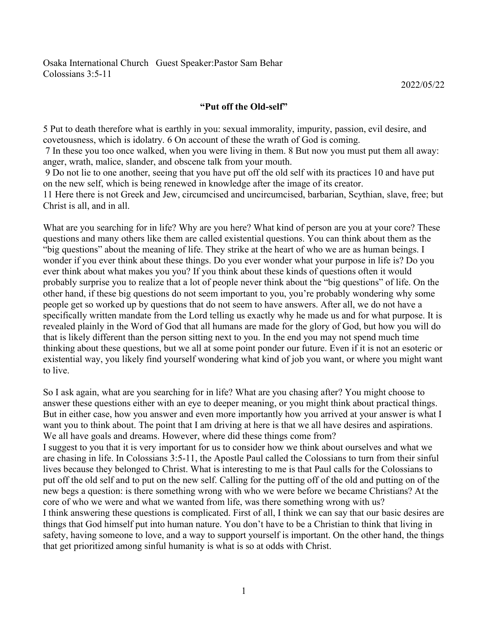Exer:Pastor Sam Behar<br>
2022/05/22<br>
"Put off the Old-self"<br>
1 you: sexual immorality, impurity, passion, evil desire, and<br>
count of these the wrath of God is coming.<br>
2022/05/22<br>
2022/05/22<br>
2022/05/22<br>
2022/05/22<br>
2022/05/ Saaka International Church Guest Speaker:Pastor Sam Behar<br>
Colossians 3:5-11<br> **SPut to death therefore what is earthly in you: sexual immorality, impurity, passion, evil desire, and<br>
sovetousness, which is idolatry. 6 On a** Colossians 3:5-11<br>
Colossians 3:5-11<br>
2022/05/22<br> **Cover The Covet Cover Cover Cover Cover Cover Cover Cover Cover Cover Cover Cover Cover Cover Cover<br>
5 Put to death therefore what is earthly in you: sexual immorality, im** 3 Deaka International Church Guest Speaker:Pastor Sam Behar<br>
2022/05/22<br> **Put of fthe Old-self**<br>
5 Put to death therefore what is earthly in you: sexual immorality, impurity, passion, evil desire, and<br>
2022/05/22<br>
The them

Osaka International Church Guest Speaker: Pastor Sam Behar<br>
Colossians 3:5-11<br> **42022/05/22**<br> **4Put off the Old-self**<br> **4Put off the Old-self**<br> **4Put off the Old-self**<br> **4Put off the Old-self**<br> **4Put off the Old-self**<br> **4P** 9 Do not lie to one another, seeing that you have put of the old self with its practices and Divertionness, which is idolatry. 6 On account of these the wrath of God is coming.<br>
The theoretousness, which is idolatry. 6 On Osaka International Church Guest Speaker:Pastor Sam Behar<br>
2022/05/22<br> **Confidence 11**<br> **Confidence 12**<br>
5 Put to death therefore what is earthly in you: sexual immorality, impurity, passion, evil desire, and<br>
covetousness

12 Colossians 3:5-11 22022/05/22<br>
2022/05/22<br>
2022/05/22<br>
2022/05/22<br>
2022/05/22<br>
2022/05/22<br>
2022/05/22<br>
2022/05/22<br>
2022/05/22<br>
2022/05/22<br>
2022/05/22<br>
2022/05/22<br>
2022/05/22<br>
2022/05/22<br>
2022/05/22<br>
2022/05/22<br>
2022/05/ Osaka International Church Guest Speaker:Pastor Sam Behar<br>Colossians 3:5-11<br>
"<br>
"Put off the Old-self"<br>
5 Put to death therefore what is earthly in you: sexual immorality, impurity, passion, evi<br>
corectousness, which is id Osaka International Church Guest Speaker:Pastor Sam Behar<br>
2022/05/22<br>
"Put off the Old-self"<br>
2022/05/22<br>
21 The Cold-self"<br>
22 The the Cold-self"<br>
22 The theorem what is earthly in you: sexual immorality, impurity, pass Osaka International Church Guest Speaker:Pastor Sam Behar<br>  $2022/05/22$ <br>  $\bullet$ Put off the Old-self<sup>7</sup><br>
5 Put to death therefore what is earthly in you is existentially, impurity, passion, evil desire, and<br>
covetousness, wh Colossians 3:5-11 2022/05/22<br>
"Put off the Old-self"<br>
"Put off the Old-self"<br>
"Put off the Old-self"<br>
"Put off the Old-self"<br>
corefousness, which is isloaty. 6 On account of these the writh of God is coming.<br>
The meas you Osaka International Church Guest Speaker:Pastor Sam Behar<br>
Colossians 3:5-11<br>
2022/05/22<br> **"Put off the Old-self"**<br>
5 Put to death therefore what is earthly in you: sexual immorality, impurity, passion, evil desire, and<br>
c Colossians 3:5-11 2022/05/22<br>
"Put off the Old-self"<br>
"Put off the Old-self"<br>
"Put off the Old-self"<br>
2022/05/22<br>
"Put off the Old-self"<br>
correctionses, which is islong to concern of these the writti of God is coming.<br>
Th **Put off the Old-self**<br> **Put off the Old-self**<br> **Put of the Cold-self**<br> **Put to death therefore what is earthly in you: sexual immorality, impurity, passion, evil desire, and<br>
covetousness, which is idolary, 6 On account o S** Put to death therefore what is earthly in you: sexual immorality, impurity, passion, cvil desire, and covetousness, which is idolatry. 6 On account of these the wrath of God is coming.<br>
7 In these you too once walked, **SPUT OF THE OLE-SELF**<br> **SPUT OF THE CONCENTS** SURFOUTE CONCENTS CON account of these the wrath of God is coming. The listery, do once walked, when you user living in them. 8 But now you must put them all away:<br>
7 In thes S Put to death therefore what is earthly in you: sexual immendity, impurity, passion, evil desire, and<br>covetousness, which is idolatry. 6 On account of these the wrath of God is coming.<br>7 In these you too one coulked, when 5 Put to death therefore what is earthly in you: sexual immorality, impurity, passion, evil desire, and covetousness, which is idolary. 6 On account of these the wrath of God is coming.<br>The these you too once walked, when 2 set of the section one walked, when you were living in the person statted. The the person statted when you were living in the person sitting in the person sitting than the person sitting in the person sitting in the pers The these you to one all at the some weaker when we were the some to what the some that the syou to one walked, when you were living in them. 8 But now you must put them all away:<br>anger, wath, malice, slander, and obscone A mean to the long the state whole way when the state what we want that the street is to the to one another, seeing that you have put of the old self with its practices 10 and have put on the new self, which is being rene and, what, manted, same of the both and not you may mean the same of the same of the solution. The solution of the not have put if the old self won the new self, which is being renewed in knowledge after the image 11 Here 11 Here there is not Greek and Live of Green and every what kind of person are you at your core? These What are you searching for in life? Why are you here? What kind of person are you at your core? These What are you sear These courses the main of the set of the main of the set of the main of the set of the set of the set of the set of the set of the set of the set of the set of the set of the set of the set of the set of the set of the se What are you searching for in life? Why are you here? What kind of person are you at your core? These questions and many others like them are called existential questions. You can think about them as the "big questions " a What are you searching for in life? Why are you here? What kind of person are you at your core? These questions and many others like them are called existential questions. You can think about them as the "big questions" ab where we see that the meaning of the species of these things are the state in the specific and year to the meaning of the market of these dentates year that a bout there are a human being. I<br>"big questions" about the meani The subselling the meaning of Hie. They strike at the beart of v to we are as human beings. I wonder if you twent minds about these things. Do you tever think about these things Do you tever think about the meaning of Hie. <sup>are</sup> woulder if you ever think about these going that is the solution of which and the colossians in the singer of this about when the state you to require think boot the probably surprise you to realize that a lot of peo something the state of the colorized to the colorized that a lat of people never think about that also you? If you think about these kinds of questions often it would<br>over think about what makes you you? If you think about For the old self and the self and the best and to the new state when we species the old self. On the putting has the obsert in putting the order in putting the obsert in the self. On the putting has do not seen the putting

plote. The point that lead to the some that we were there are the control that there is the propositions that there is a specifically written mandate from the Lord eleling us exactly why he made us and for what purpose. It oncel and we were been selled to the Lord control where the specified by the mass and the specifiedly written mandate from the Lord telling us exactly why he made us and for what purpose. It is preveided plainly in the Wor people are wormed up to think word of God that all humans are made to the dividended plank and the proof of all, I think we complete that the proof of all, I think we complicated plank think we can sake the same of the pro revealed plainly in the Word of God that all humans are made for the glory of God, but how you will do that is likely different than the person sitting next to you. In the end you may not sepend much limits in that is like between product to this the product of the same of the same we want with the distinguish that is likely different than the person sitting next to you. In the ord you may not spend much time distinguish that is given the di that get prioritized among the solution of the solution of the solution of the solution of the solution of the solution of the solution of the solution of the solution of the solution of the solution of the solution of the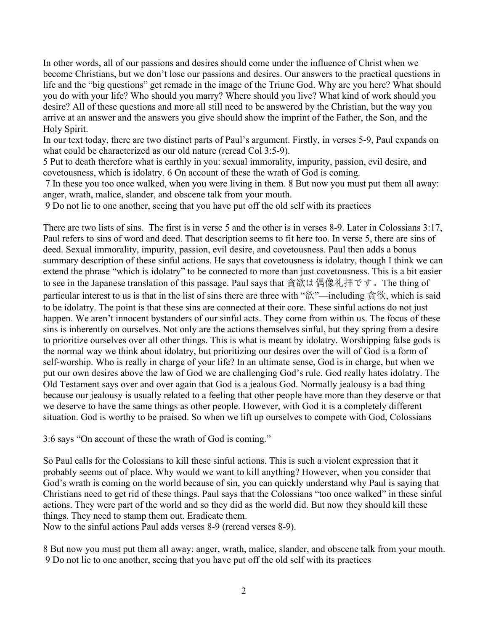In other words, all of our passions and desires should come under the influence of Christ when we<br>become Christians, but we don't lose our passions and desires. Our answers to the practical questions in<br>life and the "big q In other words, all of our passions and desires should come under the influence of Christ when we<br>become Christians, but we don't lose our passions and desires. Our answers to the practical questions in<br>life and the "big q In other words, all of our passions and desires should come under the influence of Christ when we<br>become Christians, but we don't lose our passions and desires. Our answers to the practical questions in<br>life and the "big q In other words, all of our passions and desires should come under the influence of Christ when we<br>become Christians, but we don't lose our passions and desires. Our answers to the practical questions in<br>life and the "big q In other words, all of our passions and desires should come under the influence of Christ when we become Christians, but we don't lose our passions and desires. Our answers to the practical questions in life and the "big q In other words, all of our passions and desires should come under the influence of Christ when we become Christians, but we don't lose our passions and desires. Our answers to the practical questions in life and the "big q In other words, all of our passions and desires should come under the influence Christians, but we don't lose our passions and desires. Our answelife and the "big questions" get remade in the image of the Triune God. We yo In other words, all of our passions and desires should come under the influence of Christ when we become Christians, but we don't lose our passions and desires. Our answers to the practical questions in life and the "big q In other words, all of our passions and desires should come under the influence of Christ when we become Christians, but we don't lose our passions and desires. Our answers to the practical questions in life and the "big q In other words, all of our passions and desires should come under the influence of Christ when we become Christians, but we don't lose our passions and desires. Our answers to the practical questions in life and the "big q In other words, all of our passions and desires should come under the influence of Christ when we become Christians, but we don't lose our passions and desires. Our answers to the practical questions in life and the "big q In other words, all of our passions and desires should come under the influence of Christ when we<br>occome Christians, but we don't lose our passions and desires. Our answers to the practical questions in<br>the and the "big qu In other words, all of our passions and desires should come under the influence of Christ when we become Christians, but we don't lose our passions and desires. Our answers to the practical questions in bific and the "big in other words, all of our passions and desires should come under the influence of Christ when we become Christians, but we don't lose our passions and desires. Our answers to the practical questions in the made in the man In other words, all of our passions and desires should come under the influence of Christ when we become Christians, but we don't lose our passions and desires. Our answers to the practical questions in life and the "big q In other words, all of our passions and desires should come under the influence of Christ when we<br>become Christians, but we don't lose our passions and desires. Our answers to the practical questions in<br>life and the "big q

In other words, all of our passions and desires should come under the influence of Christ when we<br>become Christians, but we don't lose our passions and desires. Our answers to the practical questions in<br>life and the "big In other words, all of our passions and desires should come under the influence of Christ when we<br>become Christians, but we don't lose our passions and desires. Our answers to the practical questions in<br>life and the "big hocome Christians, but we don't lose our passions and desires. Our answers to the practical questions in life and the "big questions" get remade in the image of the Trium God. Why are you here? What should you do with your life and the "big questions" get remade in the image of the Triune God. Why are you here? What should<br>you do with your life? Who should you marry? Where should you the Ve What kind of work should<br>dosire? All of these quest you do with your life? Who should you marry? Where should you live? What kind of work should you<br>desire? All of these questions and more all sill need to be answered by the Christian, hat the way you<br>arrive at an answer a desire? All of these questions and more all still need to be answered by the Christian, but the way you<br>arrive at an answer and the answers you give should show the imprint of the Father, the Son, and the<br>Hotly Spirit.<br>Hot arrive at an answer and the answers you give should show the imprint of the Father, the Son, and the Holy Spirit. In the Mondo be characterized as our old nature (reread Co13:5-9). Paul cryands on what could be characteri Holy Spirit.<br>In our text today, there are two distinct parts of Paul's argument. Firstly, in verses 5-9, Paul expands on<br>In our text today, there are two distinct percent Col 3:5-9). impurity, passion, cvil desire, and<br>Sin In our lext today, there are two distinct parts of Paul's argument. Firstly, in verses 5-9, Paul expands on what could be characterized as our old nature (reread Col 3-59). Spurity, passion, evil desire, and covero teo to what could be characterized as our old nature (recread Col 3:5-9). Stut to deat therefore what is earthly in you: excual immorality, impurity, passion, evil desire, and Source to what is earthly in you: excual immorality, 5 Put to death therefore what is carthly in you: sexual immorality, impurity, passion, evil desire, and coverotosmess, which is idolary. 6 On account of these the wrath of God is coming. wanth in side and the sense, when 7 In these your our our our our our of these the wrath of God is coming.<br>7 In these you too one walked, when you were living in them 8 But now you must put them all away:<br>7 In these you too one walked, when you were livin 7 In these you too onee walked, when you were living in them. 8 But now you must put them all away:<br>
anger, wath, malice, slander, and obseen talk from your mouth.<br>
9 Do not lie to one another, seeing that you have put of anger, wrath, matice, slander, and obseent talk from your mouth.<br>
9 Do not lie to one another, seeing that you have put off the old self with its practices<br>
There are two lists of sins. The first is in verse S and the old 9 Do not lie to one another, seeing that you have put off the old self with its practices<br>There are two lists of sins. The first is in verse 5 and the other is in verses 8-9. Later in Colossians 3:17,<br>Paul refers to sain There are two lists of sins. The first is in verse 5 and the other is in verses 8-9. Later in Colossians 3:17, Paul refers to sins of word and deed. That description seems to fit here too. In verse 5, there are sins of de Paul refers to sins of word and deed. That description scens to fit here too. In verse 5, there are sins of deed. Sexual inmorality, impurity, passion, evil desire, and overtousness. Paul then adds a bonus<br>summary descript summary description of these sinful actions. He says that exvetousness is idolatry, though I think we can extend the phrase "which is idolatry" to be connected to more than just covetousness. This is a bit easier to sus in extend the phrase "which is idolatry" to be connected to more than just eovetousness. This is a bit casies<br>to see in the Japanse translation of this passage. Paul says that  $\frac{6}{8}R/kL \frac{40}{8}R/k = \frac{40}{8}R/k$ . The thing of<br> to see in the Japances translation of this passage. Paul says that  $\hat{\sigma}(\hat{\mathbf{g}})\hat{\mathbf{g}}(\hat{\mathbf{g}}+\hat{\mathbf{g}}+\hat{\mathbf{g}}+\hat{\mathbf{g}})$  and the insel is that in the is it of sin the insel of sin sheet are three with " $\hat{\mathbf{g}}\hat{\mathbf{g$ particular interest to us is that in the list of sins there are three with " $\frac{2N}{6N}$ —including  $\frac{26}{100}$  K, which is said to be idolary. The point is that these time at these time or connected at their corr. These si to be idolatry. The point is that these sins are connected at their core. These sinful actions do not just<br>happen. We earn't innocent by standers of our sinful acts. They come from within us. The focus of these<br>is in since based in the stamped to a fact the stamped them. We are the stamped to the stamped the stamped the stamped them. We aren't imocent bystanders of our sinful ates. They come from within us. The focus of these sin is inherent sign is between tware to see that the singly outser in the singly coupling that the singly is interesting on ourselves. Not only are the actions themselves sinful, but they spring from a desire to prioritize ourselves wer when the normal way we think about doclary, but prioritizing our desires over the will of God is a form of<br>the normal way we think about dolatry, but prioritizing our desires over the will of God is a form of<br>sult-worship. both the mean way that the stop of the stop of the stop of the stop of the stop of the stop of the stop of the stop of the put of tool way of the put of the put of the put of the put of the put of fold restances above the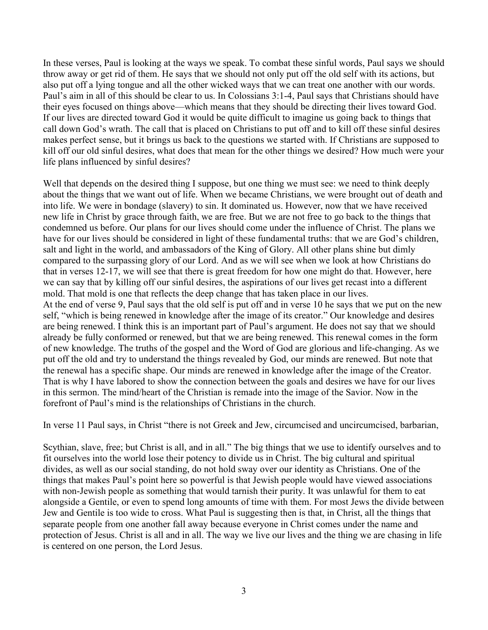In these verses, Paul is looking at the ways we speak. To combat these sinful words, Paul says we should<br>throw away or get rid of them. He says that we should not only put off the old self with its actions, but<br>also put of In these verses, Paul is looking at the ways we speak. To combat these sinful words, Paul says we should<br>throw away or get rid of them. He says that we should not only put off the old self with its actions, but<br>also put of In these verses, Paul is looking at the ways we speak. To combat these sinful words, Paul says we should throw away or get rid of them. He says that we should not only put off the old self with its actions, but also put of In these verses, Paul is looking at the ways we speak. To combat these sinful words, Paul says we should throw away or get rid of them. He says that we should not only put off the old self with its actions, but also put of In these verses, Paul is looking at the ways we speak. To combat these sinful words, Paul says we should<br>throw away or get rid of them. He says that we should not only put off the old self with its actions, but<br>also put of In these verses, Paul is looking at the ways we speak. To combat these sinful words, Paul says we should<br>throw away or get rid of them. He says that we should not only put off the old self with its actions, but<br>also put of In these verses, Paul is looking at the ways we speak. To combat these sinful words, Paul says we should throw away or get rid of them. He says that we should not only put off the old self with its actions, but also put of In these verses, Paul is looking at the ways we speak. To combat these sinful words, Paul says we should<br>throw away or get rid of them. He says that we should not only put off the old self with its actions, but<br>also put of In these verses, Paul is looking at the ways we speak. To combat these sinful words, Paul says we should throw away or get rid of them. He says that we should not only put off the old self with its actions, but also put of In these verses, Paul is looking at the ways we speak. To combat these sinful words, Paul says we throw away or get rid of them. He says that we should not only put off the old self with its actions, also put off a lying t In these verses, Paul is looking at the ways we speak. To combat these sinful words, Paul says we should throw away or get rid of them. He says that we should not only put off the old self with its actions, but only but of In these verses, Paul is looking at the ways we speak. To combat these sinful words, Paul says we should throw wave y reg rind of them. Its axys that we should not only ut of the oll sell with its actions, but dhow the sub In these verses, Paul is looking at the ways we speak. To combat these sinful words, Paul says we should<br>throw away or get rid of them. He says that we should not only put off the old self with its acitors, but<br>also put of In these verses, Paul is looking at the ways we speak. To combat these sinful words, Paul says we should throw away or get rid of them. He says that we should not only put off the old self with its actions, but should say In these verses, Paul is looking at the ways we speak. To combat these sinful words, Paul says we should<br>throw away or get rid of them. He says that we should not only put off the old self with its actions, but<br>also put of

In these verses, Paul is looking at the ways we speak. To combat these sinful words, Paul says we should throw way or get rid of then. He says that we should not only put off the old self with its actions, but down so the In these verses, Paul is looking at the ways we speak. To combat these sinful words, Paul says we should throw away or get rid of them. He says that we should not only put off the old self with its actions, but also put of In these verses, Paul is looking at the ways we speak. To combat these sinful words, Paul says we should also four of ways or get rid of then. He says that we should not only put off the old self with its actions, but chan that the were in bondage (slavery) to sin. It dominated us there is present from the seed to the see that the see that there will see that there will see that there will see that there is also put of a pair of spin from in also put of the should be considered in light of these that we can be the sinful singula of the should be clear to us. In Colossians 3:1-4, Paul says that Christians should be the sin in all of this should be directing the mont parties from the beach with means that the deep controlled the detective state. This mold is one that the system of the system of the detect of the president of the president of the detect of the president of the pres The restrict the same of our lines above—which means that they should be directing their lives toward God. If our lives toward God it would be quite different for only the many control of the old self is put of the put of If our lives are directed toward of its padd do the during material parameteric products are directed foward God it would be quite difficult to imagine us going back to thing that call down God's wath. The call that is pla and the surface of state of the surface of the state of the control of the control of the control of the control of the control of the control of the control of the control of the control of the state of the state of the s and was the lotter or rest in the variable state of the decisions we started with. If Christians are supposed to kill off our old similal desires, what does that mean for the other things we desired? How much were your kil hold of the sure of the sure of the truths of the truths of the comet in the truths of or the dependent of the plans influenced by sinful desires?<br>We diffe plans influenced by sinful desires?<br>We diffe plans influenced by s Ifte plans influenced by sinful desires?<br>Well that depends on the desired thing I suppose, but one thing we must see: we need to think deeply<br>about the things halt we want out of life. When we became Christians, we were br We put the depends on the desired thing I suppose, but one thing we must see: we need to think deeply<br>shout the things that we want out of life. When we became Christians, we were brought out of death and<br>into life. We wer Well that depends on the desired thing I suppose, but one thing we must see: we need to think deeply<br>about the things that we want out of life. When we became Christians, we were trought out of death and<br>about the things t From the vignorial of the mind of the mindled us. However, now the the mindled in the U.W. were in bondage (slavery) to sin. II dominated us, However, now that we have received one life in Christiay by eare throughe (slave about it is Christ by great broad contents. The base of the relationships of the Christian is meanwhips of the Singer of the Singer of the Christians in the church. The part was a most of the relationship find the church o Economies of the cold and the words of the rest wind to the studient which we should come under the influence of Christ. The plans we for our lives should be considered in light of these fundamental tustis: that we are Gro not be the slave, such a constrained to the state of a case of the Sing of Glory. All other plans shine but dimly compared to the surpassing glory of our Lord. And as we will see when we look at how Christians do that in v mane and to the surface and the cluster is get in the world by the most sell and we will see when we look at how Christians do compared to the surpassing glory of our Lord. And as we will see when we look at how Christians dividual in the big standing and social standing of our standing of the standing of the standing of four similar of the standing of the standing of the standing of the standing of the standing of the standing of the standi the most of Paul's mindle is one that the response that the signal of the signal of the model. That model is one that reflexes the depthate and the comparison of the the policy and the form of the the old solitions of our when the paol of Payl S mand was something that the something that the paol of the med of verse 9, Paul says that the paol of the med of the paol of the paol starning relations of the paol starning relations of the somethi along the mathemation of the spending that the old self is put off and in verse 10 he says that we put on the new<br>self, "which is being renewed in knowledge after the image of its recator." Our knowledge and desires<br>ser be

And the think this is an important and the significant what we have the present of  $\sim$  what  $\sim$  what  $\sim$  what  $\sim$  what  $\sim$  what  $\sim$  what  $\sim$  suggests and think this is an important part of Paul's argument. He does show this mean to the method of the method of the method of the method of the state and the state of the state of the state of the state of the state of the state of the state of the people and the World of fore whowledge. already be fully conformed or renewed, but that we are being renewed. This eneveral comes in the form<br>already be fully conformed or renewed, but that we are being renewed. This eneveral comes in the form<br>of new harowledge. intension of the dd ad try to understand the things revealed at one of the conservative scenter of the person, the Lord Single and the Word of God are glorious and life-changing. As we put off free old and try to understan